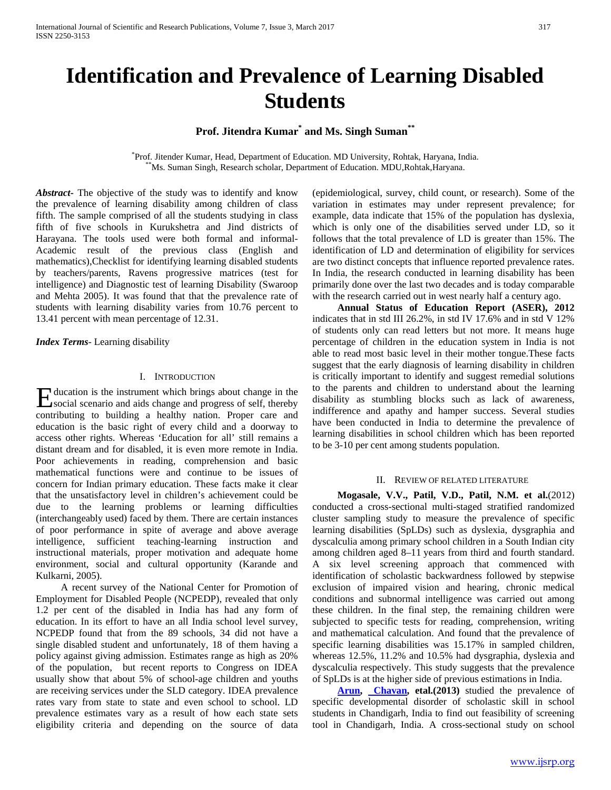**Prof. Jitendra Kumar\* and Ms. Singh Suman\*\***

\*Prof. Jitender Kumar, Head, Department of Education. MD University, Rohtak, Haryana, India. Ms. Suman Singh, Research scholar, Department of Education. MDU,Rohtak,Haryana.

*Abstract***-** The objective of the study was to identify and know the prevalence of learning disability among children of class fifth. The sample comprised of all the students studying in class fifth of five schools in Kurukshetra and Jind districts of Harayana. The tools used were both formal and informal-Academic result of the previous class (English and mathematics),Checklist for identifying learning disabled students by teachers/parents, Ravens progressive matrices (test for intelligence) and Diagnostic test of learning Disability (Swaroop and Mehta 2005). It was found that that the prevalence rate of students with learning disability varies from 10.76 percent to 13.41 percent with mean percentage of 12.31.

*Index Terms*- Learning disability

## I. INTRODUCTION

ducation is the instrument which brings about change in the E ducation is the instrument which brings about change in the social scenario and aids change and progress of self, thereby contributing to building a healthy nation. Proper care and education is the basic right of every child and a doorway to access other rights. Whereas 'Education for all' still remains a distant dream and for disabled, it is even more remote in India. Poor achievements in reading, comprehension and basic mathematical functions were and continue to be issues of concern for Indian primary education. These facts make it clear that the unsatisfactory level in children's achievement could be due to the learning problems or learning difficulties (interchangeably used) faced by them. There are certain instances of poor performance in spite of average and above average intelligence, sufficient teaching-learning instruction and instructional materials, proper motivation and adequate home environment, social and cultural opportunity (Karande and Kulkarni, 2005).

 A recent survey of the National Center for Promotion of Employment for Disabled People (NCPEDP), revealed that only 1.2 per cent of the disabled in India has had any form of education. In its effort to have an all India school level survey, NCPEDP found that from the 89 schools, 34 did not have a single disabled student and unfortunately, 18 of them having a policy against giving admission. Estimates range as high as 20% of the population, but recent reports to Congress on IDEA usually show that about 5% of school-age children and youths are receiving services under the SLD category. IDEA prevalence rates vary from state to state and even school to school. LD prevalence estimates vary as a result of how each state sets eligibility criteria and depending on the source of data

(epidemiological, survey, child count, or research). Some of the variation in estimates may under represent prevalence; for example, data indicate that 15% of the population has dyslexia, which is only one of the disabilities served under LD, so it follows that the total prevalence of LD is greater than 15%. The identification of LD and determination of eligibility for services are two distinct concepts that influence reported prevalence rates. In India, the research conducted in learning disability has been primarily done over the last two decades and is today comparable with the research carried out in west nearly half a century ago.

 **Annual Status of Education Report (ASER), 2012** indicates that in std III 26.2%, in std IV 17.6% and in std V 12% of students only can read letters but not more. It means huge percentage of children in the education system in India is not able to read most basic level in their mother tongue.These facts suggest that the early diagnosis of learning disability in children is critically important to identify and suggest remedial solutions to the parents and children to understand about the learning disability as stumbling blocks such as lack of awareness, indifference and apathy and hamper success. Several studies have been conducted in India to determine the prevalence of learning disabilities in school children which has been reported to be 3-10 per cent among students population.

### II. REVIEW OF RELATED LITERATURE

 **Mogasale, V.V., Patil, V.D., Patil, N.M. et al.**(2012) conducted a cross-sectional multi-staged stratified randomized cluster sampling study to measure the prevalence of specific learning disabilities (SpLDs) such as dyslexia, dysgraphia and dyscalculia among primary school children in a South Indian city among children aged 8–11 years from third and fourth standard. A six level screening approach that commenced with identification of scholastic backwardness followed by stepwise exclusion of impaired vision and hearing, chronic medical conditions and subnormal intelligence was carried out among these children. In the final step, the remaining children were subjected to specific tests for reading, comprehension, writing and mathematical calculation. And found that the prevalence of specific learning disabilities was 15.17% in sampled children, whereas 12.5%, 11.2% and 10.5% had dysgraphia, dyslexia and dyscalculia respectively. This study suggests that the prevalence of SpLDs is at the higher side of previous estimations in India.

 **[Arun,](https://www.ncbi.nlm.nih.gov/pubmed/?term=Arun%20P%5BAuthor%5D&cauthor=true&cauthor_uid=24056561) [Chavan,](https://www.ncbi.nlm.nih.gov/pubmed/?term=Chavan%20BS%5BAuthor%5D&cauthor=true&cauthor_uid=24056561) etal.(2013)** studied the prevalence of specific developmental disorder of scholastic skill in school students in Chandigarh, India to find out feasibility of screening tool in Chandigarh, India. A cross-sectional study on school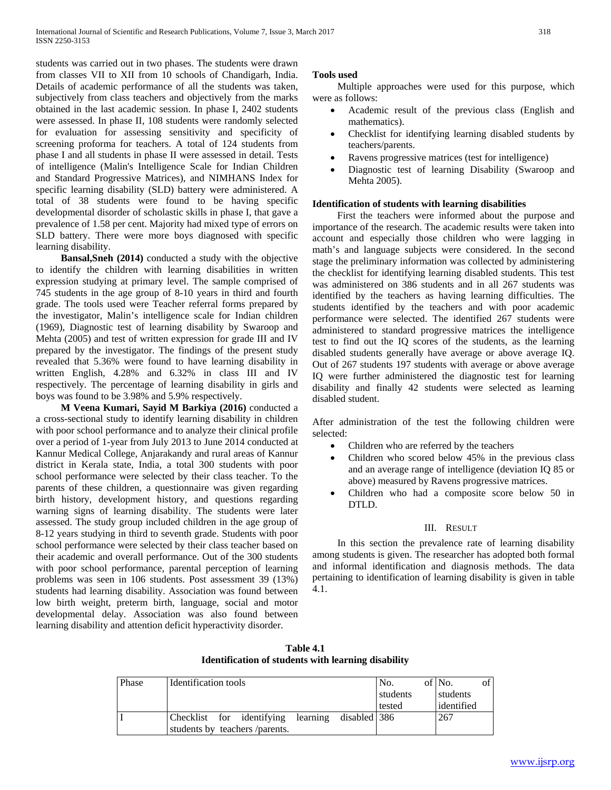students was carried out in two phases. The students were drawn from classes VII to XII from 10 schools of Chandigarh, India. Details of academic performance of all the students was taken, subjectively from class teachers and objectively from the marks obtained in the last academic session. In phase I, 2402 students were assessed. In phase II, 108 students were randomly selected for evaluation for assessing sensitivity and specificity of screening proforma for teachers. A total of 124 students from phase I and all students in phase II were assessed in detail. Tests of intelligence (Malin's Intelligence Scale for Indian Children and Standard Progressive Matrices), and NIMHANS Index for specific learning disability (SLD) battery were administered. A total of 38 students were found to be having specific developmental disorder of scholastic skills in phase I, that gave a prevalence of 1.58 per cent. Majority had mixed type of errors on SLD battery. There were more boys diagnosed with specific learning disability.

 **Bansal,Sneh (2014)** conducted a study with the objective to identify the children with learning disabilities in written expression studying at primary level. The sample comprised of 745 students in the age group of 8-10 years in third and fourth grade. The tools used were Teacher referral forms prepared by the investigator, Malin's intelligence scale for Indian children (1969), Diagnostic test of learning disability by Swaroop and Mehta (2005) and test of written expression for grade III and IV prepared by the investigator. The findings of the present study revealed that 5.36% were found to have learning disability in written English, 4.28% and 6.32% in class III and IV respectively. The percentage of learning disability in girls and boys was found to be 3.98% and 5.9% respectively.

 **M Veena Kumari, Sayid M Barkiya (2016)** conducted a a cross-sectional study to identify learning disability in children with poor school performance and to analyze their clinical profile over a period of 1-year from July 2013 to June 2014 conducted at Kannur Medical College, Anjarakandy and rural areas of Kannur district in Kerala state, India, a total 300 students with poor school performance were selected by their class teacher. To the parents of these children, a questionnaire was given regarding birth history, development history, and questions regarding warning signs of learning disability. The students were later assessed. The study group included children in the age group of 8-12 years studying in third to seventh grade. Students with poor school performance were selected by their class teacher based on their academic and overall performance. Out of the 300 students with poor school performance, parental perception of learning problems was seen in 106 students. Post assessment 39 (13%) students had learning disability. Association was found between low birth weight, preterm birth, language, social and motor developmental delay. Association was also found between learning disability and attention deficit hyperactivity disorder.

# **Tools used**

 Multiple approaches were used for this purpose, which were as follows:

- Academic result of the previous class (English and mathematics).
- Checklist for identifying learning disabled students by teachers/parents.
- Ravens progressive matrices (test for intelligence)
- Diagnostic test of learning Disability (Swaroop and Mehta 2005).

# **Identification of students with learning disabilities**

 First the teachers were informed about the purpose and importance of the research. The academic results were taken into account and especially those children who were lagging in math's and language subjects were considered. In the second stage the preliminary information was collected by administering the checklist for identifying learning disabled students. This test was administered on 386 students and in all 267 students was identified by the teachers as having learning difficulties. The students identified by the teachers and with poor academic performance were selected. The identified 267 students were administered to standard progressive matrices the intelligence test to find out the IQ scores of the students, as the learning disabled students generally have average or above average IQ. Out of 267 students 197 students with average or above average IQ were further administered the diagnostic test for learning disability and finally 42 students were selected as learning disabled student.

After administration of the test the following children were selected:

- Children who are referred by the teachers
- Children who scored below 45% in the previous class and an average range of intelligence (deviation IQ 85 or above) measured by Ravens progressive matrices.
- Children who had a composite score below 50 in DTLD.

# III. RESULT

 In this section the prevalence rate of learning disability among students is given. The researcher has adopted both formal and informal identification and diagnosis methods. The data pertaining to identification of learning disability is given in table 4.1.

**Table 4.1 Identification of students with learning disability**

| Phase | Identification tools                            | No.      | $\sigma$ f<br>of No. |
|-------|-------------------------------------------------|----------|----------------------|
|       |                                                 | students | students             |
|       |                                                 | tested   | identified           |
|       | Checklist for identifying learning disabled 386 |          | 267                  |
|       | students by teachers /parents.                  |          |                      |